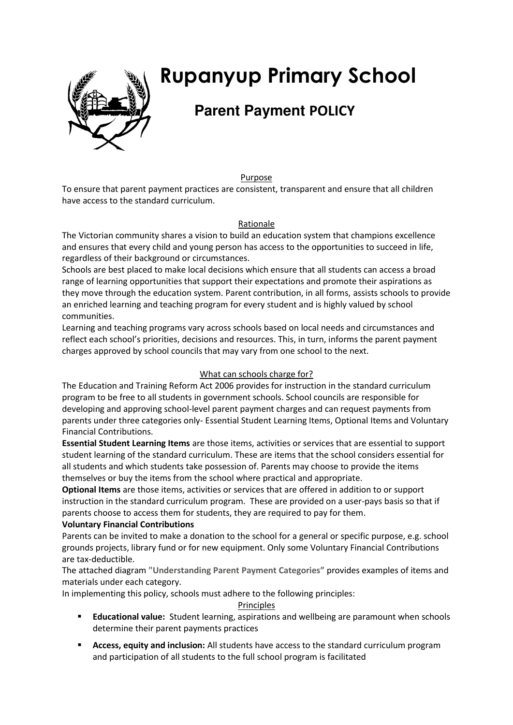

# **Rupanyup Primary School**

# **Parent Payment POLICY**

Purpose

To ensure that parent payment practices are consistent, transparent and ensure that all children have access to the standard curriculum.

# Rationale

The Victorian community shares a vision to build an education system that champions excellence and ensures that every child and young person has access to the opportunities to succeed in life, regardless of their background or circumstances.

Schools are best placed to make local decisions which ensure that all students can access a broad range of learning opportunities that support their expectations and promote their aspirations as they move through the education system. Parent contribution, in all forms, assists schools to provide an enriched learning and teaching program for every student and is highly valued by school communities.

Learning and teaching programs vary across schools based on local needs and circumstances and reflect each school's priorities, decisions and resources. This, in turn, informs the parent payment charges approved by school councils that may vary from one school to the next.

# What can schools charge for?

The Education and Training Reform Act 2006 provides for instruction in the standard curriculum program to be free to all students in government schools. School councils are responsible for developing and approving school-level parent payment charges and can request payments from parents under three categories only- Essential Student Learning Items, Optional Items and Voluntary Financial Contributions.

**Essential Student Learning Items** are those items, activities or services that are essential to support student learning of the standard curriculum. These are items that the school considers essential for all students and which students take possession of. Parents may choose to provide the items themselves or buy the items from the school where practical and appropriate.

**Optional Items** are those items, activities or services that are offered in addition to or support instruction in the standard curriculum program. These are provided on a user-pays basis so that if parents choose to access them for students, they are required to pay for them.

# **Voluntary Financial Contributions**

Parents can be invited to make a donation to the school for a general or specific purpose, e.g. school grounds projects, library fund or for new equipment. Only some Voluntary Financial Contributions are tax-deductible.

The attached diagram **"Understanding Parent Payment Categories"** provides examples of items and materials under each category.

In implementing this policy, schools must adhere to the following principles:

# Principles

- **Educational value:** Student learning, aspirations and wellbeing are paramount when schools determine their parent payments practices
- **Access, equity and inclusion:** All students have access to the standard curriculum program and participation of all students to the full school program is facilitated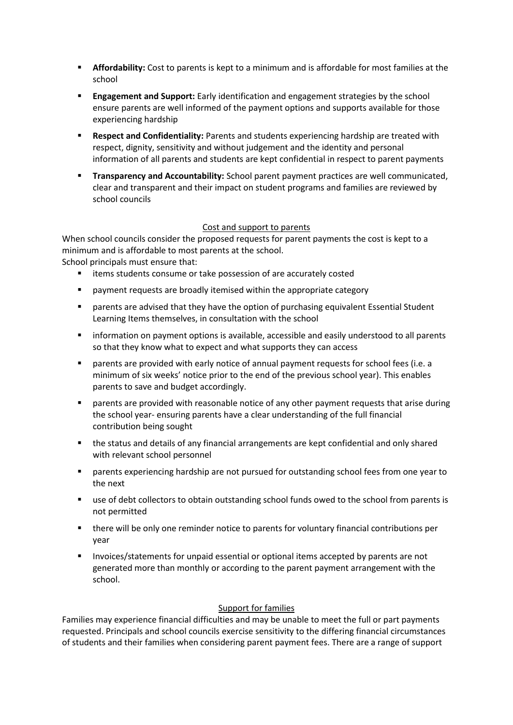- **Affordability:** Cost to parents is kept to a minimum and is affordable for most families at the school
- **Engagement and Support:** Early identification and engagement strategies by the school ensure parents are well informed of the payment options and supports available for those experiencing hardship
- **Respect and Confidentiality:** Parents and students experiencing hardship are treated with respect, dignity, sensitivity and without judgement and the identity and personal information of all parents and students are kept confidential in respect to parent payments
- **Transparency and Accountability:** School parent payment practices are well communicated, clear and transparent and their impact on student programs and families are reviewed by school councils

#### Cost and support to parents

When school councils consider the proposed requests for parent payments the cost is kept to a minimum and is affordable to most parents at the school. School principals must ensure that:

- items students consume or take possession of are accurately costed
- payment requests are broadly itemised within the appropriate category
- parents are advised that they have the option of purchasing equivalent Essential Student Learning Items themselves, in consultation with the school
- information on payment options is available, accessible and easily understood to all parents so that they know what to expect and what supports they can access
- parents are provided with early notice of annual payment requests for school fees (i.e. a minimum of six weeks' notice prior to the end of the previous school year). This enables parents to save and budget accordingly.
- **•** parents are provided with reasonable notice of any other payment requests that arise during the school year- ensuring parents have a clear understanding of the full financial contribution being sought
- the status and details of any financial arrangements are kept confidential and only shared with relevant school personnel
- parents experiencing hardship are not pursued for outstanding school fees from one year to the next
- use of debt collectors to obtain outstanding school funds owed to the school from parents is not permitted
- there will be only one reminder notice to parents for voluntary financial contributions per year
- **Invoices/statements for unpaid essential or optional items accepted by parents are not** generated more than monthly or according to the parent payment arrangement with the school.

# Support for families

Families may experience financial difficulties and may be unable to meet the full or part payments requested. Principals and school councils exercise sensitivity to the differing financial circumstances of students and their families when considering parent payment fees. There are a range of support